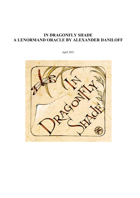# **IN DRAGONFLY SHADE A LENORMAND ORACLE BY ALEXANDER DANILOFF**

April 2021

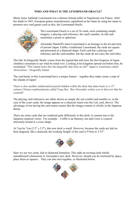## **WHO AND WHAT IS THE LENORMAND ORACLE?**

Marie Anne Adelaide Lenormand was a famous fortune-teller in Napoleonic-era France. After her death in 1843, European games manufacturers capitalised on her fame by using her name to promote new card games such as this, the Lenormand Oracle.



The Lenormand Oracle is a set of 36 cards, each containing simple imagery, a playing card reference, the card's number, its title and sometimes a poem or aphorism.

Alexander Daniloff's latest Lenormand is an homage to the art and style of ancient Japan. Unlike a traditional Lenormand, the cards are square and presented as a diamond shape. Each card has a playing card reference and the card number, but the cards do not carry the card titles.

The title 'In Dragonfly Shade' comes from the legend that tells how the first Emperor of Japan climbed a mountain to see what he ruled over. Looking at his kingdom spread out before him, he exclaimed: "This island looks like the dragonfly that licks its tail!" Japan is sometimes called *Akitsushima* - Dragonfly Island.

The card backs in this Lenormand have a unique feature – together they make create a map of the islands of Japan!

There is also another mathematical puzzle hidden within the deck that dates back to a  $13<sup>th</sup>$ century Chinese mathematician called Yang Hui. But Alexander wishes you to discover that for yourself!

The playing card references are either shown as simply the suit symbol and number or, in the case of the court cards, the image appears as a character insert (see the Lily card, above). The advantage of not having the card names means that the images remain in wholly in the Japanese theme.

There are some cards that are rendered quite differently in this deck, to remain true to the Japanese-inspired vision. For example – Coffin is an funerary urn and Cross is a parcel intricately bound in a cross shape.

At 7cm by 7cm (2.5" x 2.5"), this new deck is small. However, because the cards are laid on their diagonal, like a diamond, the working 'height' of the card is 9.9cm or 3.53".



Here we see two cards, laid in diamond formation. This adds an exciting (and wholly untraditional!) dimension to Alexander's new deck. However, should you be restricted by space, place them as squares. They can also nest together, as illustrated below.

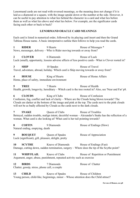Lenormand cards are not read with reversed meanings, so the meaning does not change if it is laid as a diamond or a square, with the image upside down or the number at the side. However, it can be useful to pay attention to what lies behind the character in a card and what lies before them as well as what lies above and what lies below. For example, are the significator cards facing each other or back to back?

#### **LENORMAND ORACLE CARD MEANINGS**

Each card is listed in numerical order, followed by its playing card insert and then the Grand Tableau House name. A basic interpretative outline then follows to help you read the cards.

**1 RIDER** 9 Hearts **House of Messages \*** News, messenger, delivery – Who is Rider moving towards or away from?

**2 CLOVER** 6 Diamonds House of Luck Luck (small), opportunity, lessens adverse affects of less positive cards - What is Clover rooted in?

**3 SHIP** 10 Spades House of Travel Travel, adventure, abroad, holiday. Which card is Ship moving towards or away from?

**4 HOUSE** King of Hearts **House of Home Affairs** Home, place of safety, immediate environment

**5 TREE** 7 Hearts **House of Health** Health, growth, longevity, hereditary – Which card is the tree rooted in? Also, see 'Near and Far' p8.

**6 CLOUDS** King of Clubs House of Confusion Confusion, fog, conflict and lack of clarity – Where are the Clouds being blown towards? The Clouds are darker at the bottom of the image and pink at the top. The cards next to the pink clouds will not be as badly affected by Clouds as the cards next to the dark clouds.

**7 SNAKE** Oueen of Clubs House of Troubles Betrayal, sudden trouble, malign intent, deceitful woman – Alexander's Snake has the reflection of a woman. What card is she looking at? What card is her tail pointing towards?

8 **COFFIN** 9 Diamonds House of Endings (Slow) Natural ending, emptying, death

**9 BOUQUET** Queen of Spades House of Appreciation Luck (significant), gift, pleasure, delight, pretty

10 **SCYTHE** Knave of Diamonds House of Endings (Fast) Damage, cutting down, sudden termination, surgery – Where does the tip of the Scythe point?

**11 WHIP/FLAIL** Knave of Clubs House of Repetition or Punishment Argument, anger, abuse, punishment, repeated activity such as exercise

**12 BIRDS** 7 Diamonds House of Chatter Chatter, gossip, stress, phone call, a couple

13 **CHILD** Knave of Spades House of Children Young person, child-like, beginnings, minor – Whose attention does the Child attract?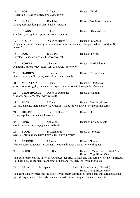| 14                                                                                                                                                                                               | <b>FOX</b>                                          | 9 Clubs<br>Deception, clever trickster, employment/work               | House of Work                                                                                                    |  |  |
|--------------------------------------------------------------------------------------------------------------------------------------------------------------------------------------------------|-----------------------------------------------------|-----------------------------------------------------------------------|------------------------------------------------------------------------------------------------------------------|--|--|
| 15                                                                                                                                                                                               | <b>BEAR</b>                                         | 10 Clubs<br>Strength, protection, powerful business person            | House of Authority Figures                                                                                       |  |  |
| 16                                                                                                                                                                                               | <b>STARS</b>                                        | 6 Hearts<br>Guidance, navigation, optimism, hopes, dreams             | House of Dreams/Goals                                                                                            |  |  |
| 17<br>regard?                                                                                                                                                                                    | <b>STORK</b>                                        | Queen of Hearts                                                       | House of Changes<br>Pregnancy, improvement, promotion, new home, movement, change - Which card does Stork        |  |  |
| 18                                                                                                                                                                                               | <b>DOG</b>                                          | 10 Hearts<br>Loyalty, friendship, advice, trustworthy, pet            | House of Friends                                                                                                 |  |  |
| 19                                                                                                                                                                                               | <b>TOWER</b>                                        | 6 Spades<br>Authority, bureaucracy, rules, seat of power, superiority | House of Officialdom                                                                                             |  |  |
| 20                                                                                                                                                                                               | <b>GARDEN</b>                                       | 8 Spades<br>Social, party, public space, networking, many people      | House of Social Events                                                                                           |  |  |
| 21                                                                                                                                                                                               | <b>MOUNTAIN</b>                                     | 8 Clubs                                                               | House of Obstacles<br>Obstruction, struggle, resistance, delay – There is no path through the Mountain!          |  |  |
| 22                                                                                                                                                                                               | <b>CROSSROADS</b>                                   | Queen of Diamonds<br>Options, decisions, other way, re-route          | House of Options                                                                                                 |  |  |
| 23                                                                                                                                                                                               | <b>MICE</b>                                         | 7 Clubs                                                               | House of Anxiety/Losses<br>Losses, damage, theft, anxiety, subtraction – Mice nibble away at neighbouring cards. |  |  |
| 24                                                                                                                                                                                               | <b>HEART</b><br>Love, happiness, romance, heart-led | Knave of Hearts                                                       | House of Love                                                                                                    |  |  |
| 25                                                                                                                                                                                               | <b>RING</b>                                         | Ace Clubs<br>Contract, promises, engagement, stability                | House of Commitments                                                                                             |  |  |
| 26                                                                                                                                                                                               | <b>BOOK</b>                                         | 10 Diamonds<br>Secrets, information, study, knowledge, diary, privacy | House of Secrets                                                                                                 |  |  |
| 27                                                                                                                                                                                               | <b>LETTER</b>                                       | 7 Spades                                                              | House of Letters<br>Written correspondence – document, text, email, tweet, social networking post                |  |  |
| 28                                                                                                                                                                                               | <b>LORD</b>                                         | Ace Hearts                                                            | House of Main Focus (if Male) or<br>House of Significant Other                                                   |  |  |
| This card represents the sitter, if your sitter identifies as male and this card acts as the significator.<br>Lord can also be the significant other or husband, brother, son, male friend etc.  |                                                     |                                                                       |                                                                                                                  |  |  |
| 29                                                                                                                                                                                               | <b>LADY</b>                                         | Ace Spades                                                            | House of Main Focus (if Female)<br>House of Significant Other                                                    |  |  |
| This card usually represents the sitter, if your sitter identifies as female and this card acts as the<br>spread's significator. The Lady can also be wife, sister, daughter, female friend etc. |                                                     |                                                                       |                                                                                                                  |  |  |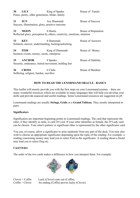| 30 | <b>LILY</b><br>Peace, purity, older generation, libido, family | King of Spades                                                                     | House of Family     |
|----|----------------------------------------------------------------|------------------------------------------------------------------------------------|---------------------|
| 31 | <b>SUN</b><br>Success, illumination, glory, positive outcome   | Ace Diamonds                                                                       | House of Success    |
| 32 | <b>MOON</b>                                                    | 8 Hearts<br>Reflected glory, perception by others, creativity, emotions, intuition | House of Reputation |
| 33 | <b>KEY</b>                                                     | 8 Diamonds<br>Solution, answer, understanding, locking/unlocking                   | House of Answers    |
| 34 | <b>FISH</b><br>business events, money, assets, enterprise      | King of Diamonds                                                                   | House of Money      |
| 35 | <b>ANCHOR</b>                                                  | 9 Spades<br>Security, endurance, imited movement, holding fast                     | House of Stability  |
| 36 | <b>CROSS</b><br>Suffering, religion, burden, sacrifice         | 6 Clubs                                                                            | House of Burdens    |

# **HOW TO READ THE LENORMAND ORACLE - BASICS**

This leaflet will merely provide you with the first steps on your Lenormand journey – there are many wonderful resources which are available in many languages that will help you develop your skills and provide nuanced and useful readings. Some Lenormand resources are suggested on p9.

Lenormand readings are usually **Strings, Grids** or a **Grand Tableau**. They mostly interpreted in pairs.

#### **Significators**

Significators are important beginning points in Lenormand readings. The card that represents the sitter, if they identify as male, is card 28 Lord. If your sitter identifies as female, the 29 Lady card can be chosen. Your sitter's partner or significant other is represented by the other significator card.

You can, of course, allow a significator to arise randomly from any part of the deck. You may also wish to choose an appropriate significator depending upon the topic of the reading. For example: a reading concerning money may lead you to select Fish as the significator. A reading about a friend may lead you to select Dog etc.

# **Card Order**

The order of the two cards makes a difference to how you interpret them. For example:



Clover + Coffin Luck (Clover) runs out (Coffin).  $\text{Coffin} + \text{Clover}$  An ending (Coffin) proves lucky (Clover).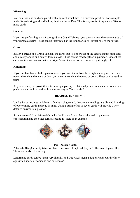# **Mirroring**

You can read one card and pair it with any card which lies in a mirrored position. For example, in the 3-card string outlined below, Scythe mirrors Dog. This is very useful in spreads of five or more cards.

## **Corners**

If you are performing a 3 x 3 card grid or a Grand Tableau, you can also read the corner cards of your spread as pairs. These can be interpreted as the 'boundaries' or 'limitations' of the spread.

### **Cross**

In a grid spread or a Grand Tableau, the cards that lie either side of the central significator card and directly above and below, form a cross. These can be read together in pairs too. Since these cards are in direct contact with the significator, they are very close or very strongly felt.

## **Knighting**

If you are familiar with the game of chess, you will know how the Knight chess piece moves – two to the side and one up or down, or one to the side and two up or down. These can be read in pairs.

As you can see, the possibilities for multiple pairing explains why Lenormand cards do not have positional values in a reading in the same way as Tarot cards do.

## **READING IN STRINGS**

Unlike Tarot readings which can often be a single card, Lenormand readings are divined in 'strings' of two or more cards and read in pairs. Using a string of up to seven cards will provide a very detailed answer to a question.

Strings are read from left to right, with the first card regarded as the main topic under consideration and the other cards affecting it. Here is an example:



#### **Dog + Anchor + Scythe**

A friend's (Dog) security (Anchor) has come to an abrupt end (Scythe). The main topic is Dog. The other cards refer to Dog.

Lenormand cards can be taken very literally and Dog CAN mean a dog or Rider could refer to equestrian sports or someone one horseback!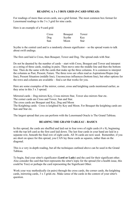#### **READING A 3 x 3 BOX GRID (9-CARD SPREAD)**

For readings of more than seven cards, use a grid format. The most common box format for Lenormand readings is the 3 x 3 grid for nine cards.

Here is an example of a 9-card grid:

| Cross  | <b>B</b> ouquet | Tower |
|--------|-----------------|-------|
| $\log$ | Scythe          | Key   |
| Sun    | Moon            | Star  |

Scythe is the central card and is a randomly chosen significator – so the spread wants to talk about swift endings.

The first card laid is Cross, then Bouquet, Tower and Dog. The spread ends with Star.

Do not be daunted by the number of cards – start with Cross, Bouquet and Tower and interpret as a string of three cards, reading in pairs. Then move onto the middle line and then the bottom line. Then do the same with the cards that make up the three columns. It is common to interpret the columns as Past, Present, Future. The three rows are often read as Aspirations/Hopes (top line), Present Situation (middle line), Unconscious influences (bottom line), but other options for the rows and columns are available – find a set that works for you.

Here are some examples of the mirror, corner, cross and knighting cards mentioned earlier, as they arise in this 3 x 3 spread.

Mirrored cards – Dog mirrors Key, Cross mirrors Star, Tower also mirrors Star etc.

The corner cards are Cross and Tower, Sun and Star.

The cross cards are Bouquet and Key, Dog and Moon

The Knighting cards: Cross is knighted by Key and Moon. For Bouquet the knighting cards are Sun and Star etc.

The largest spread that you can perform with the Lenormand Oracle is The Grand Tableau.

# **READING THE GRAND TABLEAU - BASICS**

In this spread, the cards are shuffled and laid out in four rows of eight cards  $(4 \times 8)$ , beginning with the top left card as the first card laid down. The last four cards in your hand are laid in a separate row, beneath the final row of eight cards. All 36 cards are now used. Remember, if you are short on space for this spread, you CAN lay these cards as squares, rather than on the diagonal.

This is a very in-depth reading, but all the techniques outlined above can be used in the Grand Tableau.

To begin, find your sitter's significator (**Lord or Lady**) and the card for their significant other. Also consider the card that best represents the sitter's topic for the spread (for a health issue, this could be Tree) or perhaps the card representing the Significant Other.

Work your way methodically (in pairs) through the cross cards, the corner cards, the knighting cards, mirroring cards, 3 x 3 grids etc. Make sense of the cards in the context of your sitter's question.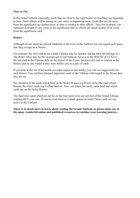#### **Near or Far**

In the Grand Tableau especially, cards that are close to the significator (ie touching) are regarded as near. Their effects will be strong on your sitter or happening soon. Cards that are far away from the significator are further away in time or weaker in their effects. Tree, for example, can represent ill health if very close to the significator, but its effects are much weaker if far away from the significator card.

#### **Houses**

Although all our cards are placed randomly in the rows of the Tableau, we can regard each space that they occupy as a 'House'.

For example, the first card in our Grand Tableau may be Anchor, but the HOUSE belongs to 1 The Rider. Mice may be the second card in our Tableau, but it is in the HOUSE of 2 Clover … the last card in the Tableau falls on the House of the Cross. Interpret the card in relation to the House, just as you would if they were before you as a pair of cards.

If you look at the list of keywords provided earlier in this leaflet, you will see suggestions for each House. You can then interpret important cards in the Tableau with regard to the House that they are on.

Pay attention to the cards which land on the tricky Houses (eg House of Scythe) and which Houses the tricky cards (eg Coffin) land on. Also, see where the lucky cards land and which cards are on the lucky Houses.

The final four cards which do not lie on the four main rows are not part of the Grand Tableau reading. BUT, you can, of course, read them as a small spread in itself. These cards are not active in the Tableau.

**There is so much more to learn about reading the Grand Tableau, so please make use of the many wonderful online and published resources to continue your learning journey.**